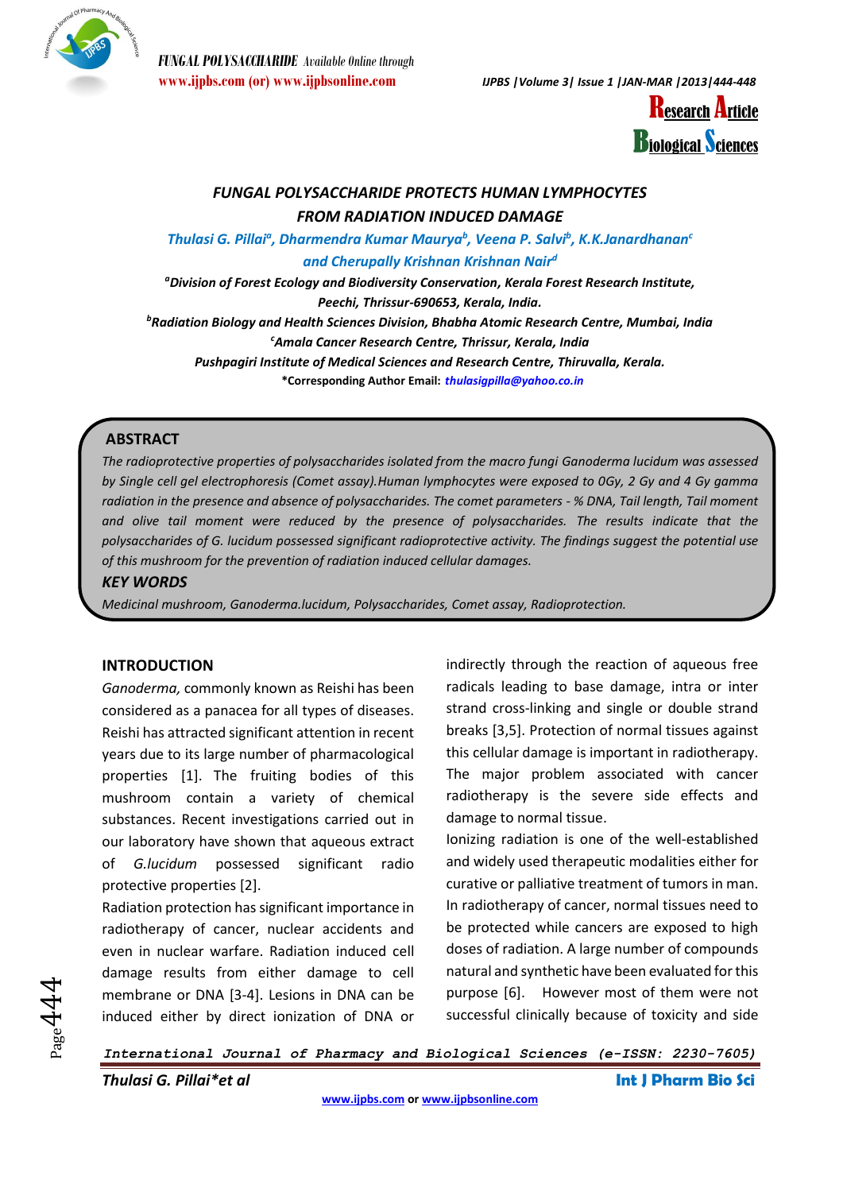

*FUNGAL POLYSACCHARIDE Available Online through*



### *FUNGAL POLYSACCHARIDE PROTECTS HUMAN LYMPHOCYTES FROM RADIATION INDUCED DAMAGE*

*Thulasi G. Pillai<sup>a</sup> , Dharmendra Kumar Maurya<sup>b</sup> , Veena P. Salvi<sup>b</sup> , K.K.Janardhanan<sup>c</sup> and Cherupally Krishnan Krishnan Nair<sup>d</sup>*

*<sup>a</sup>Division of Forest Ecology and Biodiversity Conservation, Kerala Forest Research Institute, Peechi, Thrissur-690653, Kerala, India.*

*<sup>b</sup>Radiation Biology and Health Sciences Division, Bhabha Atomic Research Centre, Mumbai, India <sup>c</sup>Amala Cancer Research Centre, Thrissur, Kerala, India*

*Pushpagiri Institute of Medical Sciences and Research Centre, Thiruvalla, Kerala.*

**\*Corresponding Author Email:** *[thulasigpilla@yahoo.co.in](mailto:thulasigpilla@yahoo.co.in)*

### **ABSTRACT**

*The radioprotective properties of polysaccharides isolated from the macro fungi Ganoderma lucidum was assessed by Single cell gel electrophoresis (Comet assay).Human lymphocytes were exposed to 0Gy, 2 Gy and 4 Gy gamma radiation in the presence and absence of polysaccharides. The comet parameters - % DNA, Tail length, Tail moment and olive tail moment were reduced by the presence of polysaccharides. The results indicate that the polysaccharides of G. lucidum possessed significant radioprotective activity. The findings suggest the potential use of this mushroom for the prevention of radiation induced cellular damages.*

### *KEY WORDS*

*Medicinal mushroom, Ganoderma.lucidum, Polysaccharides, Comet assay, Radioprotection.*

### **INTRODUCTION**

*Ganoderma,* commonly known as Reishi has been considered as a panacea for all types of diseases. Reishi has attracted significant attention in recent years due to its large number of pharmacological properties [1]. The fruiting bodies of this mushroom contain a variety of chemical substances. Recent investigations carried out in our laboratory have shown that aqueous extract of *G.lucidum* possessed significant radio protective properties [2].

Radiation protection has significant importance in radiotherapy of cancer, nuclear accidents and even in nuclear warfare. Radiation induced cell damage results from either damage to cell membrane or DNA [3-4]. Lesions in DNA can be induced either by direct ionization of DNA or

indirectly through the reaction of aqueous free radicals leading to base damage, intra or inter strand cross-linking and single or double strand breaks [3,5]. Protection of normal tissues against this cellular damage is important in radiotherapy. The major problem associated with cancer radiotherapy is the severe side effects and damage to normal tissue.

Ionizing radiation is one of the well-established and widely used therapeutic modalities either for curative or palliative treatment of tumors in man. In radiotherapy of cancer, normal tissues need to be protected while cancers are exposed to high doses of radiation. A large number of compounds natural and synthetic have been evaluated for this purpose [6]. However most of them were not successful clinically because of toxicity and side

*International Journal of Pharmacy and Biological Sciences (e-ISSN: 2230-7605)*

*Thulasi G. Pillai\*et al* **Int J Pharm Bio Sci**

 $_{\rm Page}$ 444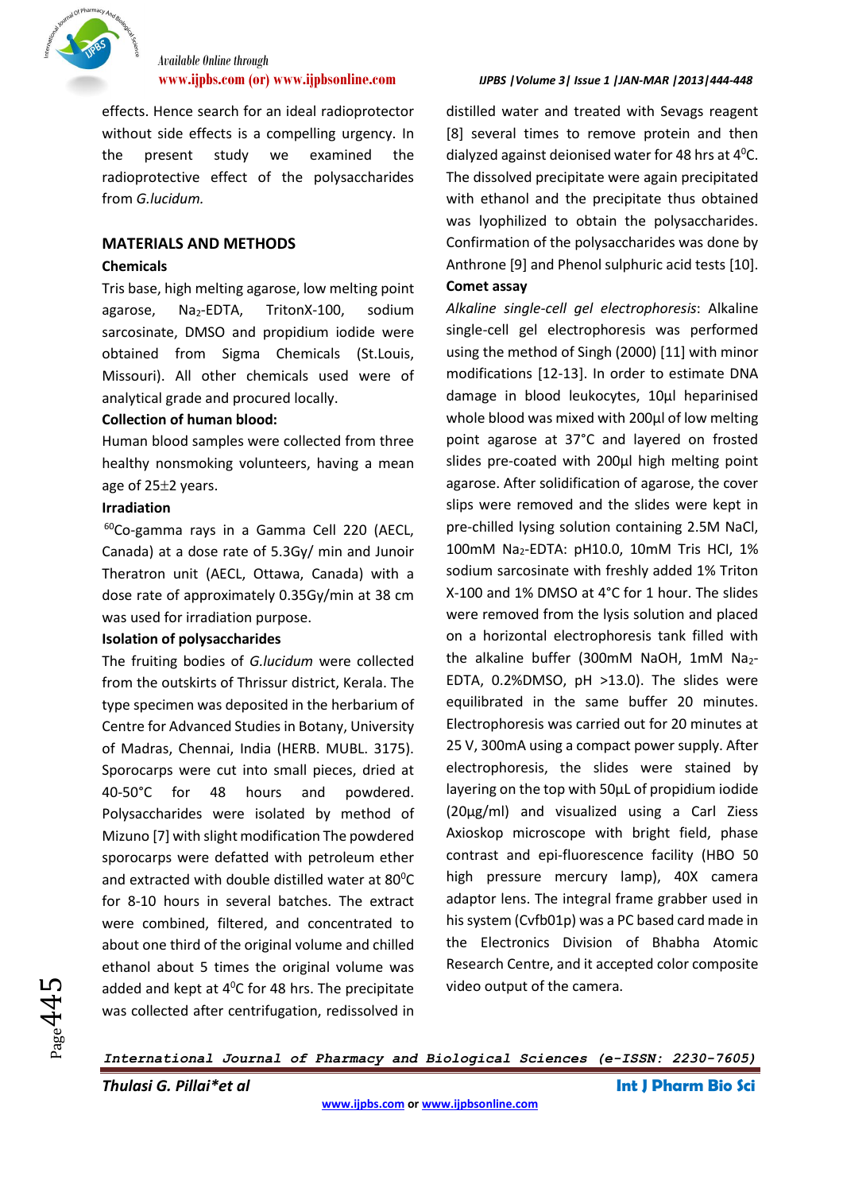

# *Available Online through*

effects. Hence search for an ideal radioprotector without side effects is a compelling urgency. In the present study we examined the radioprotective effect of the polysaccharides from *G.lucidum.*

### **MATERIALS AND METHODS**

### **Chemicals**

Tris base, high melting agarose, low melting point agarose,  $Na<sub>2</sub>-EDTA$ , TritonX-100, sodium sarcosinate, DMSO and propidium iodide were obtained from Sigma Chemicals (St.Louis, Missouri). All other chemicals used were of analytical grade and procured locally.

### **Collection of human blood:**

Human blood samples were collected from three healthy nonsmoking volunteers, having a mean age of  $25±2$  years.

### **Irradiation**

 $60C$ o-gamma rays in a Gamma Cell 220 (AECL, Canada) at a dose rate of 5.3Gy/ min and Junoir Theratron unit (AECL, Ottawa, Canada) with a dose rate of approximately 0.35Gy/min at 38 cm was used for irradiation purpose.

### **Isolation of polysaccharides**

The fruiting bodies of *G.lucidum* were collected from the outskirts of Thrissur district, Kerala. The type specimen was deposited in the herbarium of Centre for Advanced Studies in Botany, University of Madras, Chennai, India (HERB. MUBL. 3175). Sporocarps were cut into small pieces, dried at 40-50°C for 48 hours and powdered. Polysaccharides were isolated by method of Mizuno [7] with slight modification The powdered sporocarps were defatted with petroleum ether and extracted with double distilled water at 80°C for 8-10 hours in several batches. The extract were combined, filtered, and concentrated to about one third of the original volume and chilled ethanol about 5 times the original volume was added and kept at  $4^{\circ}$ C for 48 hrs. The precipitate was collected after centrifugation, redissolved in

### **[www.ijpbs.com](http://www.ijpbs.com/) (or) [www.ijpbsonline.com](http://www.ijpbsonline.com/)** *IJPBS |Volume 3| Issue 1 |JAN-MAR |2013|444-448*

distilled water and treated with Sevags reagent [8] several times to remove protein and then dialyzed against deionised water for 48 hrs at  $4^{\circ}$ C. The dissolved precipitate were again precipitated with ethanol and the precipitate thus obtained was lyophilized to obtain the polysaccharides. Confirmation of the polysaccharides was done by Anthrone [9] and Phenol sulphuric acid tests [10].

### **Comet assay**

*Alkaline single-cell gel electrophoresis*: Alkaline single-cell gel electrophoresis was performed using the method of Singh (2000) [11] with minor modifications [12-13]. In order to estimate DNA damage in blood leukocytes, 10μl heparinised whole blood was mixed with 200μl of low melting point agarose at 37°C and layered on frosted slides pre-coated with 200μl high melting point agarose. After solidification of agarose, the cover slips were removed and the slides were kept in pre-chilled lysing solution containing 2.5M NaCl, 100mM Na2-EDTA: pH10.0, 10mM Tris HCI, 1% sodium sarcosinate with freshly added 1% Triton X-100 and 1% DMSO at 4°C for 1 hour. The slides were removed from the lysis solution and placed on a horizontal electrophoresis tank filled with the alkaline buffer (300mM NaOH, 1mM Na2-EDTA, 0.2%DMSO, pH >13.0). The slides were equilibrated in the same buffer 20 minutes. Electrophoresis was carried out for 20 minutes at 25 V, 300mA using a compact power supply. After electrophoresis, the slides were stained by layering on the top with 50μL of propidium iodide (20μg/ml) and visualized using a Carl Ziess Axioskop microscope with bright field, phase contrast and epi-fluorescence facility (HBO 50 high pressure mercury lamp), 40X camera adaptor lens. The integral frame grabber used in his system (Cvfb01p) was a PC based card made in the Electronics Division of Bhabha Atomic Research Centre, and it accepted color composite video output of the camera.

*International Journal of Pharmacy and Biological Sciences (e-ISSN: 2230-7605)*

*Thulasi G. Pillai\*et al* **Int J Pharm Bio Sci**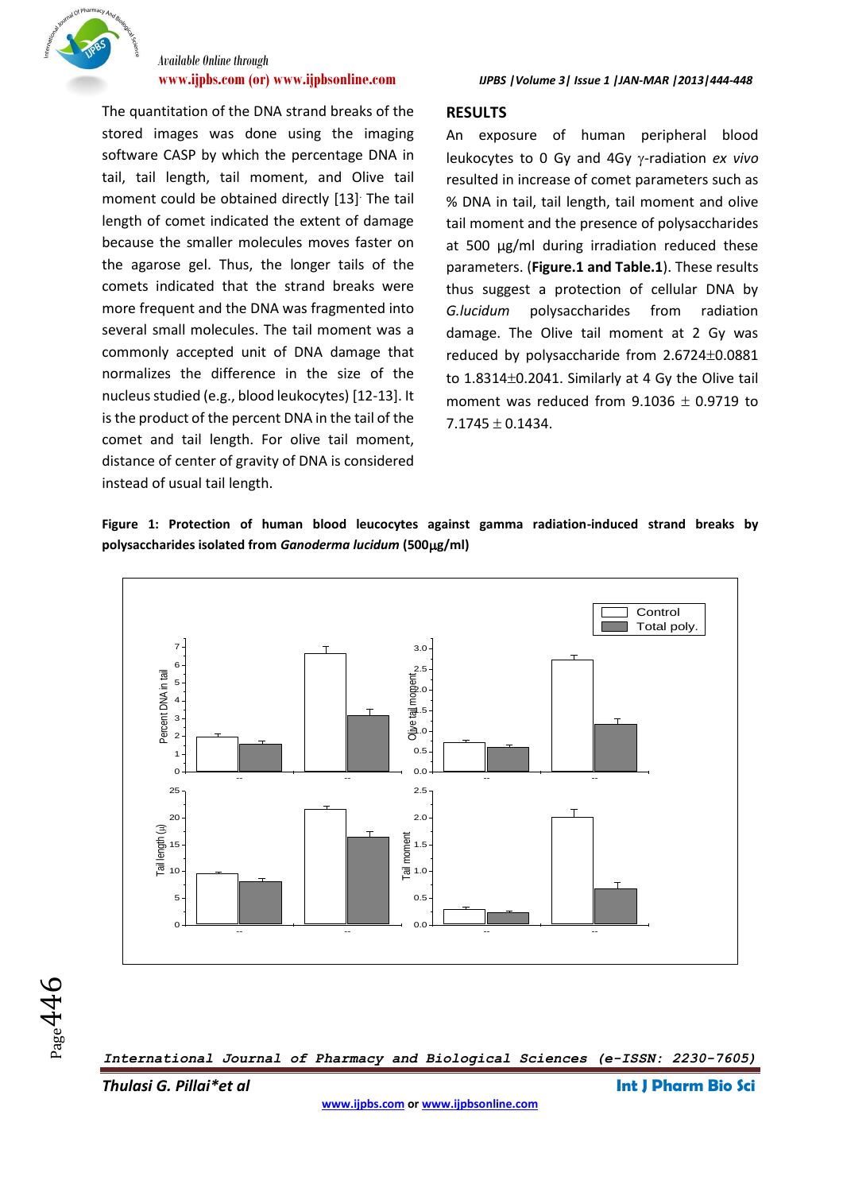

# *Available Online through*

The quantitation of the DNA strand breaks of the stored images was done using the imaging software CASP by which the percentage DNA in tail, tail length, tail moment, and Olive tail moment could be obtained directly [13]. The tail length of comet indicated the extent of damage because the smaller molecules moves faster on the agarose gel. Thus, the longer tails of the comets indicated that the strand breaks were more frequent and the DNA was fragmented into several small molecules. The tail moment was a commonly accepted unit of DNA damage that normalizes the difference in the size of the nucleus studied (e.g., blood leukocytes) [12-13]. It is the product of the percent DNA in the tail of the comet and tail length. For olive tail moment, distance of center of gravity of DNA is considered instead of usual tail length.

### **RESULTS**

An exposure of human peripheral blood leukocytes to 0 Gy and 4Gy y-radiation *ex vivo* resulted in increase of comet parameters such as % DNA in tail, tail length, tail moment and olive tail moment and the presence of polysaccharides at 500 µg/ml during irradiation reduced these parameters. (**Figure.1 and Table.1**). These results thus suggest a protection of cellular DNA by *G.lucidum* polysaccharides from radiation damage. The Olive tail moment at 2 Gy was reduced by polysaccharide from  $2.6724 \pm 0.0881$ to  $1.8314\pm0.2041$ . Similarly at 4 Gy the Olive tail moment was reduced from  $9.1036 \pm 0.9719$  to  $7.1745 \pm 0.1434$ .

**Figure 1: Protection of human blood leucocytes against gamma radiation-induced strand breaks by polysaccharides isolated from** *Ganoderma lucidum* **(500g/ml)**



*International Journal of Pharmacy and Biological Sciences (e-ISSN: 2230-7605)*

*Thulasi G. Pillai\*et al* **Int J Pharm Bio Sci**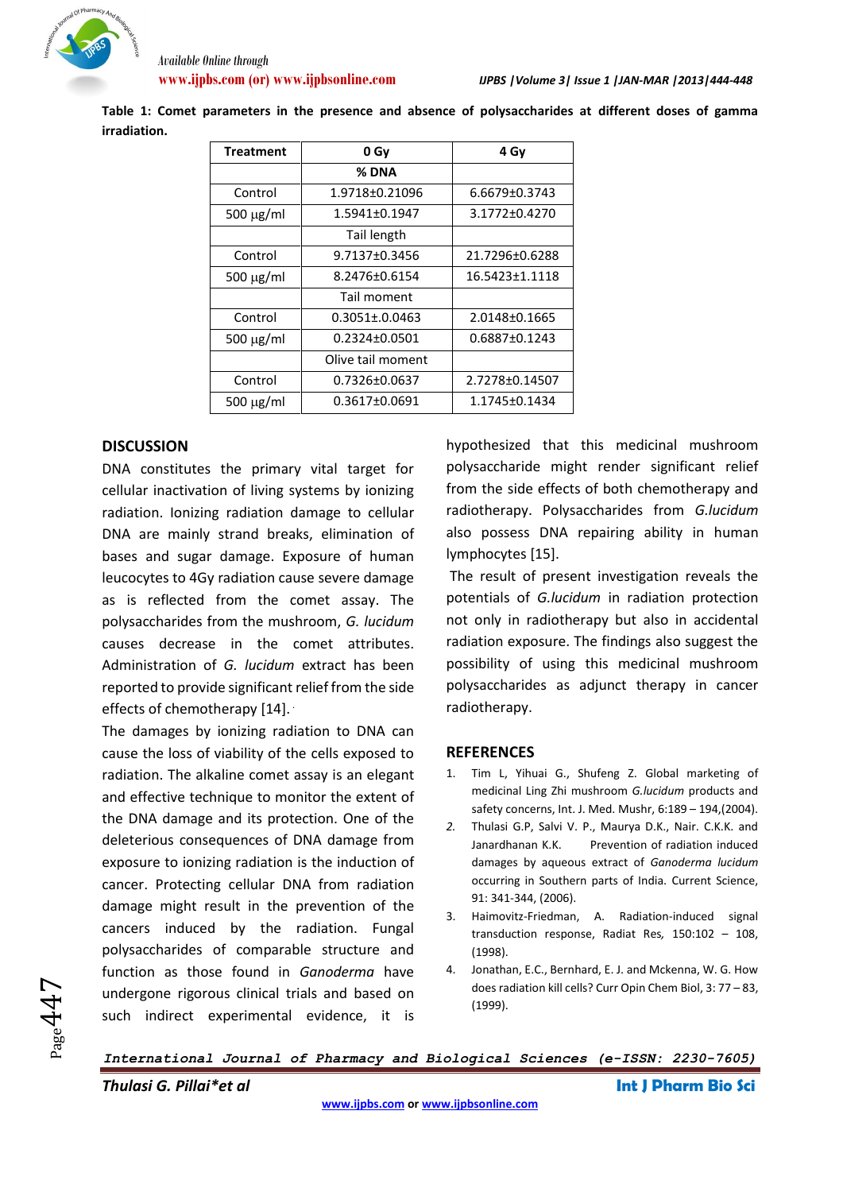

**Table 1: Comet parameters in the presence and absence of polysaccharides at different doses of gamma irradiation.**

| <b>Treatment</b> | 0 Gy                | 4 Gv           |
|------------------|---------------------|----------------|
|                  | % DNA               |                |
| Control          | 1.9718±0.21096      | 6.6679±0.3743  |
| $500 \mu g/ml$   | 1.5941±0.1947       | 3.1772±0.4270  |
|                  | Tail length         |                |
| Control          | 9.7137±0.3456       | 21.7296±0.6288 |
| $500 \mu g/ml$   | 8.2476±0.6154       | 16.5423±1.1118 |
|                  | Tail moment         |                |
| Control          | $0.3051 \pm 0.0463$ | 2.0148±0.1665  |
| $500 \mu g/ml$   | $0.2324 \pm 0.0501$ | 0.6887±0.1243  |
|                  | Olive tail moment   |                |
| Control          | 0.7326±0.0637       | 2.7278±0.14507 |
| $500 \mu g/ml$   | $0.3617 \pm 0.0691$ | 1.1745±0.1434  |

### **DISCUSSION**

DNA constitutes the primary vital target for cellular inactivation of living systems by ionizing radiation. Ionizing radiation damage to cellular DNA are mainly strand breaks, elimination of bases and sugar damage. Exposure of human leucocytes to 4Gy radiation cause severe damage as is reflected from the comet assay. The polysaccharides from the mushroom, *G. lucidum* causes decrease in the comet attributes. Administration of *G. lucidum* extract has been reported to provide significant relief from the side effects of chemotherapy [14].

The damages by ionizing radiation to DNA can cause the loss of viability of the cells exposed to radiation. The alkaline comet assay is an elegant and effective technique to monitor the extent of the DNA damage and its protection. One of the deleterious consequences of DNA damage from exposure to ionizing radiation is the induction of cancer. Protecting cellular DNA from radiation damage might result in the prevention of the cancers induced by the radiation. Fungal polysaccharides of comparable structure and function as those found in *Ganoderma* have undergone rigorous clinical trials and based on such indirect experimental evidence, it is

hypothesized that this medicinal mushroom polysaccharide might render significant relief from the side effects of both chemotherapy and radiotherapy. Polysaccharides from *G.lucidum* also possess DNA repairing ability in human lymphocytes [15].

The result of present investigation reveals the potentials of *G.lucidum* in radiation protection not only in radiotherapy but also in accidental radiation exposure. The findings also suggest the possibility of using this medicinal mushroom polysaccharides as adjunct therapy in cancer radiotherapy.

#### **REFERENCES**

- 1. Tim L, Yihuai G., Shufeng Z. Global marketing of medicinal Ling Zhi mushroom *G.lucidum* products and safety concerns, Int. J. Med. Mushr, 6:189 – 194,(2004).
- *2.* Thulasi G.P, Salvi V. P., Maurya D.K., Nair. C.K.K. and Janardhanan K.K. Prevention of radiation induced damages by aqueous extract of *Ganoderma lucidum*  occurring in Southern parts of India. Current Science, 91: 341-344, (2006).
- 3. Haimovitz-Friedman, A. Radiation-induced signal transduction response, Radiat Res*,* 150:102 – 108, (1998).
- 4. Jonathan, E.C., Bernhard, E. J. and Mckenna, W. G. How does radiation kill cells? Curr Opin Chem Biol, 3: 77 – 83, (1999).

### *International Journal of Pharmacy and Biological Sciences (e-ISSN: 2230-7605)*

*Thulasi G. Pillai\*et al* **Int J Pharm Bio Sci**

 $_{\rm Page}$ 447